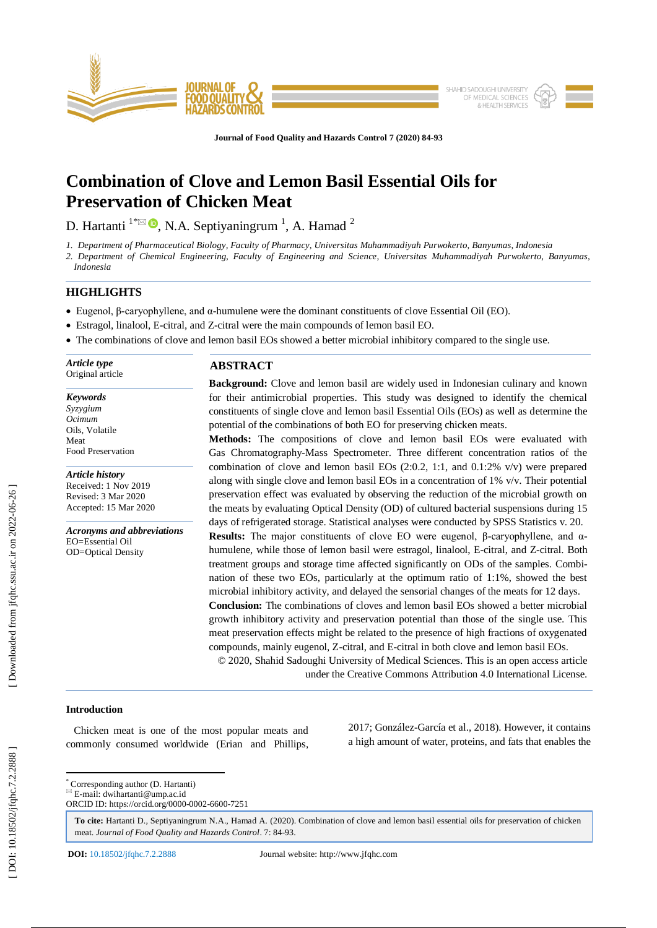

**Journal of Food Quality and Hazards Control 7 (2020) 84 -93**

# **Combination of Clove and Lemon Basil Essential Oils for Preservation of Chicken Meat**

D. Hartanti  $1^{\infty}$   $\bullet$ , N.A. Septiyaningrum  $^{1}$ , A. Hamad  $^{2}$ 

*1. Department of Pharmaceutical Biology, Faculty of Pharmacy, Universitas Muhammadiyah Purwokerto, Banyumas, Indonesia*

*2. Department of Chemical Engineering, Faculty of Engineering and Science, Universitas Muhammadiyah Purwokerto, Banyumas, Indonesia*

# **HIGHLIGHTS**

- Eugenol, β-caryophyllene, and  $\alpha$ -humulene were the dominant constituents of clove Essential Oil (EO).
- Estragol, linalool, E -citral, and Z -citral were the main compounds of lemon basil EO.
- The combinations of clove and lemon basil EOs showed a better microbial inhibitory compared to the single use.

*Article type* Original article

*Keywords Syzygium Ocimum* Oils, Volatile Meat Food Preservation

*Article history* Received: 1 Nov 2019 Revised: 3 Mar 2020 Accepted: 15 Mar 2020

*Acronyms and abbreviations* EO=Essential Oil OD=Optical Density

# **ABSTRACT**

**Background:** Clove and lemon basil are widely used in Indonesian culinary and known for their antimicrobial properties. This study was designed to identify the chemical constituents of single clove and lemon basil Essential Oils (EOs) as well as determine the potential of the combinations of both EO for preserving chicken meats.

**Methods:** The compositions of clove and lemon basil EOs were evaluated with Gas Chromatography -Mass Spectrometer. Three different concentration ratios of the combination of clove and lemon basil EOs  $(2:0.2, 1:1, \text{ and } 0.1:2\% \text{ v/v})$  were prepared along with single clove and lemon basil EOs in a concentration of  $1\%$  v/v. Their potential preservation effect was evaluated by observing the reduction of the microbial growth on the meats by evaluating Optical Density (OD) of cultured bacterial suspensions during 15 days of refrigerated storage. Statistical analyses were conducted by SPSS Statistics v. 20. **Results:** The major constituents of clove EO were eugenol, β-caryophyllene, and  $α$ humulene, while those of lemon basil were estragol, linalool, E-citral, and Z-citral. Both

treatment groups and storage time affected significantly on ODs of the samples. Combination of these two EOs, particularly at the optimum ratio of 1:1%, showed the best microbial inhibitory activity, and delayed the sensorial changes of the meats for 12 days.

**Conclusion:** The combinations of cloves and lemon basil EOs showed a better microbial growth inhibitory activity and preservation potential than those of the single use. This meat preservation effects might be related to the presence of high fractions of oxygenated compounds, mainly eugenol, Z -citral, and E -citral in both clove and lemon basil EOs.

© 2020, Shahid Sadoughi University of Medical Sciences. This is an open access article under the Creative Commons Attribution 4.0 International License.

# **Introduction**

 Chicken meat is one of the most popular meats and commonly consumed worldwide (Erian and Phillips, 2017; González -García et al., 2018) . However, it contains a high amount of water, proteins, and fats that enables the

 \* Corresponding author (D. Hartanti)  $E$ -mail: dwihartanti@ump.ac.id

**To cite:** Hartanti D., Septiyaningrum N.A., Hamad A. (2020). Combination of clove and lemon basil essential oils for preservation of chicken meat. Journal of Food Quality and Hazards Control. 7: 84-93.

ORCID ID: https://orcid.org/0000 -0002 -6600 -7251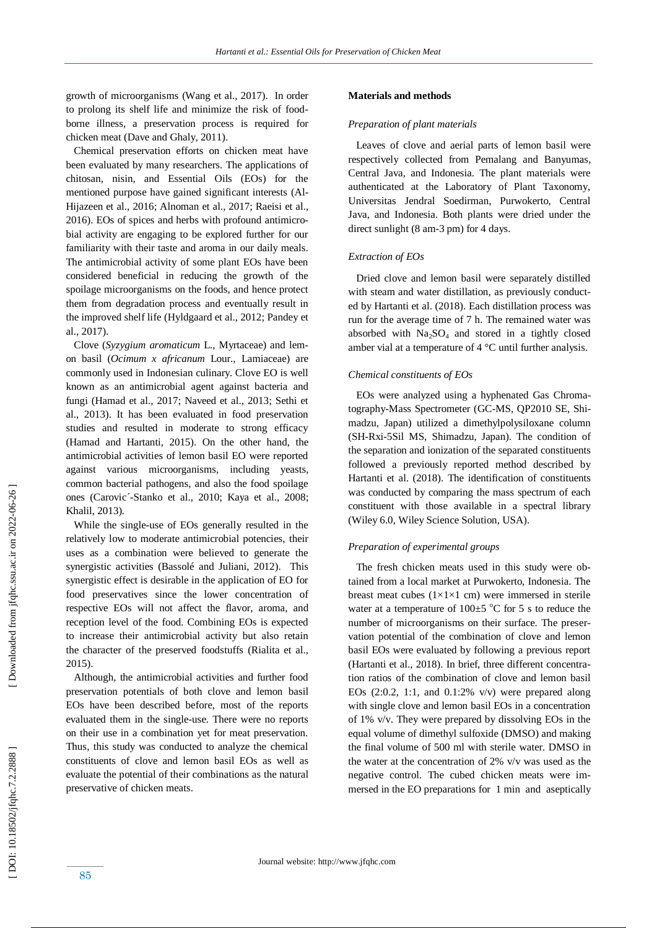growth of microorganisms (Wang et al., 2017). In order to prolong its shelf life and minimize the risk of food borne illness, a preservation process is required for chicken meat (Dave and Ghaly, 2011).

 Chemical preservation efforts on chicken meat have been evaluated by many researchers. The applications of chitosan, nisin, and Essential Oils (EOs) for the mentioned purpose have gained significant interests (Al - Hijazeen et al., 2016; Alnoman et al., 2017; Raeisi et al., 2016). EOs of spices and herbs with profound antimicrobial activity are engaging to be explored further for our familiarity with their taste and aroma in our daily meals. The antimicrobial activity of some plant EOs have been considered beneficial in reducing the growth of the spoilage microorganisms on the foods, and hence protect them from degradation process and eventually result in the improved shelf life (Hyldgaard et al., 2012; Pandey et al., 2017) .

 Clove (*Syzygium aromaticum* L., Myrtaceae) and lemon basil (*Ocimum x africanum* Lour., Lamiaceae) are commonly used in Indonesian culinary. Clove EO is well known as an antimicrobial agent against bacteria and fungi (Hamad et al., 2017; Naveed et al., 2013; Sethi et al., 2013). It has been evaluated in food preservation studies and resulted in moderate to strong efficacy (Hamad and Hartanti, 2015). On the other hand, the antimicrobial activities of lemon basil EO were reported against various microorganisms, including yeasts, common bacterial pathogens, and also the food spoilage ones (Carovic´ -Stanko et al., 2010; Kaya et al., 2008; Khalil, 2013) *.*

 While the single -use of EOs generally resulted in the relatively low to moderate antimicrobial potencies, their uses as a combination were believed to generate the synergistic activities (Bassolé and Juliani, 2012). This synergistic effect is desirable in the application of EO for food preservatives since the lower concentration of respective EOs will not affect the flavor, aroma, and reception level of the food. Combining EOs is expected to increase their antimicrobial activity but also retain the character of the preserved foodstuffs (Rialita et al., 2015).

 Although, the antimicrobial activities and further food preservation potentials of both clove and lemon basil EOs have been described before, most of the reports evaluated them in the single -use. There were no reports on their use in a combination yet for meat preservation. Thus, this study was conducted to analyze the chemical constituents of clove and lemon basil EOs as well as evaluate the potential of their combinations as the natural preservative of chicken meats.

# **Materials and methods**

## *Preparation of plant materials*

 Leaves of clove and aerial parts of lemon basil were respectively collected from Pemalang and Banyumas, Central Java, and Indonesia. The plant materials were authenticated at the Laboratory of Plant Taxonomy, Universitas Jendral Soedirman, Purwokerto, Central Java, and Indonesia. Both plants were dried under the direct sunlight (8 am -3 pm) for 4 days.

# *Extraction of EOs*

 Dried clove and lemon basil were separately distilled with steam and water distillation, as previously conducted by Hartanti et al. (2018). Each distillation process was run for the average time of 7 h. The remained water was absorbed with Na <sup>2</sup>SO <sup>4</sup> and stored in a tightly closed amber vial at a temperature of 4 °C until further analysis.

# *Chemical constituents of EOs*

 EOs were analyzed using a hyphenated Gas Chromatography-Mass Spectrometer (GC-MS, QP2010 SE, Shimadzu, Japan) utilized a dimethylpolysiloxane column (SH -Rxi -5Sil MS, Shimadzu, Japan). The condition of the separation and ionization of the separated constituents followed a previously reported method described by Hartanti et al. (2018). The identification of constituents was conducted by comparing the mass spectrum of each constituent with those available in a spectral library (Wiley 6.0, Wiley Science Solution, USA).

# *Preparation of experimental groups*

 The fresh chicken meats used in this study were obtained from a local market at Purwokerto, Indonesia. The breast meat cubes  $(1\times1\times1$  cm) were immersed in sterile water at a temperature of  $100 \pm 5$  °C for 5 s to reduce the number of microorganisms on their surface. The preservation potential of the combination of clove and lemon basil EOs were evaluated by following a previous report (Hartanti et al., 2018). In brief, three different concentration ratios of the combination of clove and lemon basil EOs  $(2:0.2, 1:1,$  and  $0.1:2%$  v/v) were prepared along with single clove and lemon basil EOs in a concentration of 1% v/v. They were prepared by dissolving EOs in the equal volume of dimethyl sulfoxide (DMSO) and making the final volume of 500 ml with sterile water. DMSO in the water at the concentration of 2% v/v was used as the negative control. The cubed chicken meats were immersed in the EO preparations for 1 min and aseptically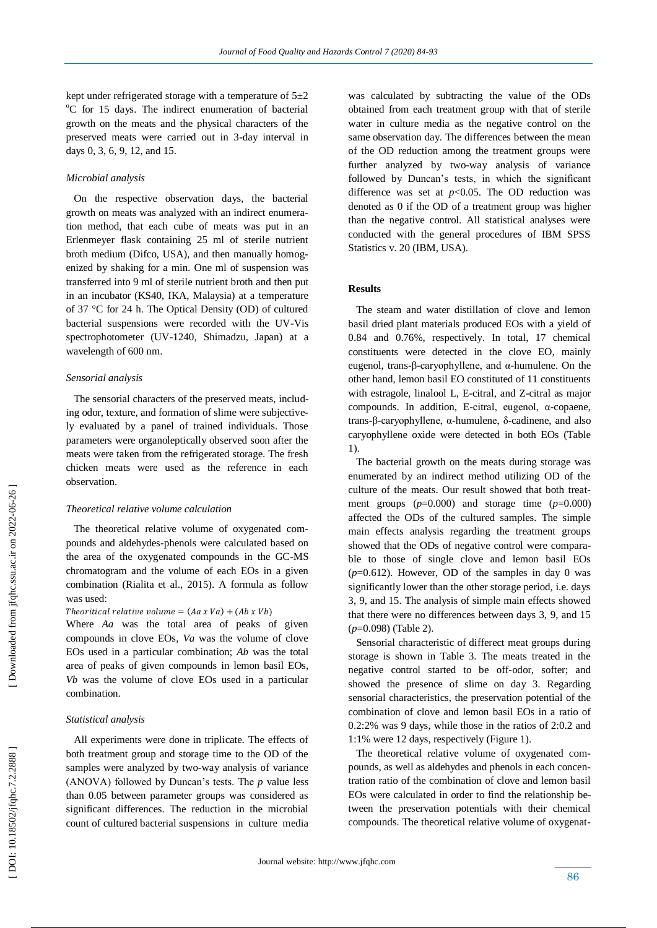kept under refrigerated storage with a temperature of  $5\pm 2$  $\rm{^{\circ}C}$  for 15 days. The indirect enumeration of bacterial growth on the meats and the physical characters of the preserved meats were carried out in 3 -day interval in days 0, 3, 6, 9, 12, and 15.

#### *Microbial analysis*

 On the respective observation days, the bacterial growth on meats was analyzed with an indirect enumeration method, that each cube of meats was put in an Erlenmeyer flask containing 25 ml of sterile nutrient broth medium (Difco, USA), and then manually homogenized by shaking for a min. One ml of suspension was transferred into 9 ml of sterile nutrient broth and then put in an incubator (KS40, IKA, Malaysia) at a temperature of 37 °C for 24 h. The Optical Density (OD) of cultured bacterial suspensions were recorded with the UV -Vis spectrophotometer (UV -1240, Shimadzu, Japan) at a wavelength of 600 nm.

# *Sensorial analysis*

 The sensorial characters of the preserved meats, including odor, texture, and formation of slime were subjectively evaluated by a panel of trained individuals. Those parameters were organoleptically observed soon after the meats were taken from the refrigerated storage. The fresh chicken meats were used as the reference in each observation.

## *Theoretical relative volume calculation*

 The theoretical relative volume of oxygenated compounds and aldehydes-phenols were calculated based on the area of the oxygenated compounds in the GC-MS chromatogram and the volume of each EOs in a given combination (Rialita et al., 2015). A formula as follow was used:

#### Theoritical relative volume =  $(Aa \times Va) + (Ab \times Vb)$

Where *Aa* was the total area of peaks of given compounds in clove EOs, *Va* was the volume of clove EOs used in a particular combination; *Ab* was the total area of peaks of given compounds in lemon basil EOs, *Vb* was the volume of clove EOs used in a particular combination.

## *Statistical analysis*

 All experiments were done in triplicate. The effects of both treatment group and storage time to the OD of the samples were analyzed by two -way analysis of variance (ANOVA) followed by Duncan's tests. The *p* value less than 0.05 between parameter groups was considered as significant differences. The reduction in the microbial count of cultured bacterial suspensions in culture media

was calculated by subtracting the value of the ODs obtained from each treatment group with that of sterile water in culture media as the negative control on the same observation day. The differences between the mean of the OD reduction among the treatment groups were further analyzed by two -way analysis of variance followed by Duncan's tests, in which the significant difference was set at  $p<0.05$ . The OD reduction was denoted as 0 if the OD of a treatment group was higher than the negative control. All statistical analyses were conducted with the general procedures of IBM SPSS Statistics v. 20 (IBM, USA).

# **Results**

 The steam and water distillation of clove and lemon basil dried plant materials produced EOs with a yield of 0.84 and 0.76%, respectively. In total, 17 chemical constituents were detected in the clove EO, mainly eugenol, trans-β-caryophyllene, and α-humulene. On the other hand, lemon basil EO constituted of 11 constituents with estragole, linalool L, E-citral, and Z-citral as major compounds. In addition, E -citral, eugenol, α -copaene, trans - β -caryophyllene, α -humulene, δ -cadinene, and also caryophyllene oxide were detected in both EOs (Table 1).

 The bacterial growth on the meats during storage was enumerated by an indirect method utilizing OD of the culture of the meats. Our result showed that both treatment groups  $(p=0.000)$  and storage time  $(p=0.000)$ affected the ODs of the cultured samples. The simple main effects analysis regarding the treatment groups showed that the ODs of negative control were comparable to those of single clove and lemon basil EOs (*p*=0.612). However, OD of the samples in day 0 was significantly lower than the other storage period, i.e. days 3, 9, and 15. The analysis of simple main effects showed that there were no differences between days 3, 9, and 15  $(p=0.098)$  (Table 2).

 Sensorial characteristic of differect meat groups during storage is shown in Table 3. The meats treated in the negative control started to be off-odor, softer; and showed the presence of slime on day 3. Regarding sensorial characteristics, the preservation potential of the combination of clove and lemon basil EOs in a ratio of 0.2:2% was 9 days, while those in the ratios of 2:0.2 and 1:1% were 12 days, respectively (Figure 1).

 The theoretical relative volume of oxygenated compounds, as well as aldehydes and phenols in each concentration ratio of the combination of clove and lemon basil EOs were calculated in order to find the relationship between the preservation potentials with their chemical compounds. The theoretical relative volume of oxygenat -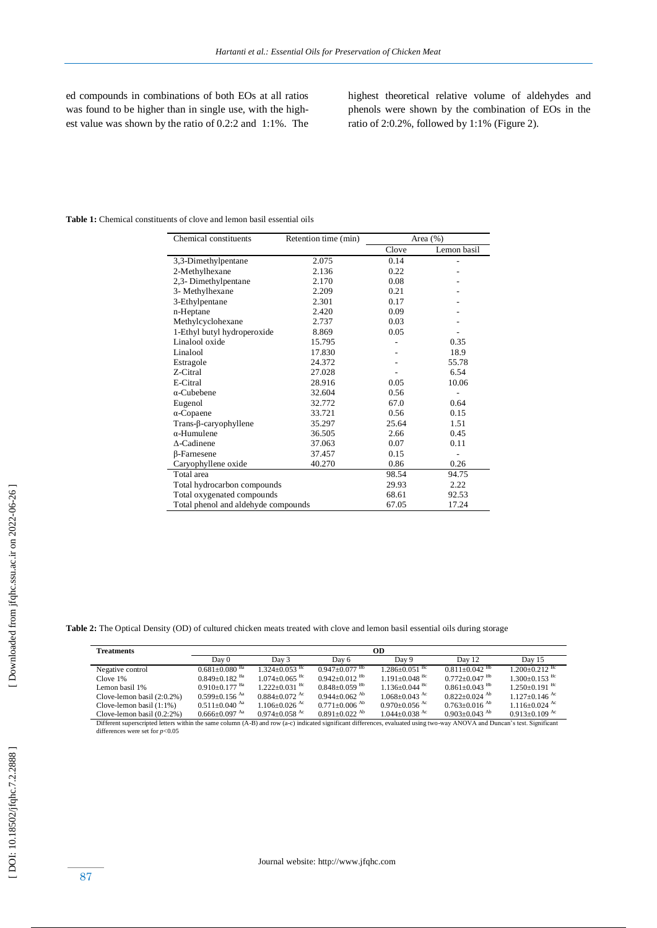ed compounds in combinations of both EOs at all ratios was found to be higher than in single use, with the highest value was shown by the ratio of 0.2:2 and 1:1%. The highest theoretical relative volume of aldehydes and phenols were shown by the combination of EOs in the ratio of 2:0.2% , followed by 1:1% (Figure 2).

## **Table 1:** Chemical constituents of clove and lemon basil essential oils

| Chemical constituents               | Retention time (min) | Area $(\% )$ |             |
|-------------------------------------|----------------------|--------------|-------------|
|                                     |                      | Clove        | Lemon basil |
| 3,3-Dimethylpentane                 | 2.075                | 0.14         |             |
| 2-Methylhexane                      | 2.136                | 0.22         |             |
| 2,3- Dimethylpentane                | 2.170                | 0.08         |             |
| 3- Methylhexane                     | 2.209                | 0.21         |             |
| 3-Ethylpentane                      | 2.301                | 0.17         |             |
| n-Heptane                           | 2.420                | 0.09         |             |
| Methylcyclohexane                   | 2.737                | 0.03         |             |
| 1-Ethyl butyl hydroperoxide         | 8.869                | 0.05         |             |
| Linalool oxide                      | 15.795               |              | 0.35        |
| Linalool                            | 17.830               |              | 18.9        |
| Estragole                           | 24.372               |              | 55.78       |
| Z-Citral                            | 27.028               |              | 6.54        |
| E-Citral                            | 28.916               | 0.05         | 10.06       |
| $\alpha$ -Cubebene                  | 32.604               | 0.56         |             |
| Eugenol                             | 32.772               | 67.0         | 0.64        |
| $\alpha$ -Copaene                   | 33.721               | 0.56         | 0.15        |
| Trans-β-caryophyllene               | 35.297               | 25.64        | 1.51        |
| $\alpha$ -Humulene                  | 36.505               | 2.66         | 0.45        |
| $\Delta$ -Cadinene                  | 37.063               | 0.07         | 0.11        |
| <b>B-Farnesene</b>                  | 37.457               | 0.15         |             |
| Caryophyllene oxide                 | 40.270               | 0.86         | 0.26        |
| Total area                          |                      | 98.54        | 94.75       |
| Total hydrocarbon compounds         |                      | 29.93        | 2.22        |
| Total oxygenated compounds          |                      | 68.61        | 92.53       |
| Total phenol and aldehyde compounds | 67.05                | 17.24        |             |

**Table 2:** The Optical Density (OD) of cultured chicken meats treated with clove and lemon basil essential oils during storage

| <b>Treatments</b>             |                                 | OD                            |                               |                               |                               |                                 |  |
|-------------------------------|---------------------------------|-------------------------------|-------------------------------|-------------------------------|-------------------------------|---------------------------------|--|
|                               | Day 0                           | Day 3                         | Day 6                         | Day 9                         | Day 12                        | Day 15                          |  |
| Negative control              | $0.681 + 0.080$ <sup>Ba</sup>   | $1.324 + 0.053$ <sup>Bc</sup> | $0.947+0.077$ <sup>Bb</sup>   | $1.286 + 0.051$ <sup>Bc</sup> | $0.811 + 0.042$ <sup>Bb</sup> | $1.200 \pm 0.212$ <sup>Bc</sup> |  |
| Clove 1%                      | $0.849 \pm 0.182$ <sup>Ba</sup> | $1.074 + 0.065$ <sup>Bc</sup> | $0.942 + 0.012$ <sup>Bb</sup> | $1.191 + 0.048$ <sup>Bc</sup> | $0.772+0.047$ <sup>Bb</sup>   | $1.300+0.153$ <sup>Bc</sup>     |  |
| Lemon basil 1%                | $0.910\pm0.177$ <sup>Ba</sup>   | $1.222+0.031$ <sup>Bc</sup>   | $0.848 + 0.059$ <sup>Bb</sup> | $1.136 + 0.044$ <sup>Bc</sup> | $0.861 + 0.043$ <sup>Bb</sup> | $1.250+0.191$ <sup>Bc</sup>     |  |
| Clove-lemon basil $(2:0.2\%)$ | $0.599 \pm 0.156$ Aa            | $0.884 + 0.072$ <sup>Ac</sup> | $0.944+0.062$ <sup>Ab</sup>   | $1.068 + 0.043$ <sup>Ac</sup> | $0.822+0.024$ <sup>Ab</sup>   | $1.127 + 0.146$ <sup>Ac</sup>   |  |
| Clove-lemon basil $(1:1\%)$   | $0.511 \pm 0.040$ <sup>Aa</sup> | $1.106 + 0.026$ <sup>Ac</sup> | $0.771 + 0.006$ <sup>Ab</sup> | $0.970 + 0.056$ <sup>Ac</sup> | $0.763+0.016$ <sup>Ab</sup>   | $1.116 + 0.024$ <sup>Ac</sup>   |  |
| Clove-lemon basil $(0.2:2\%)$ | $0.666 \pm 0.097$ Aa            | $0.974 + 0.058$ <sup>Ac</sup> | $0.891 + 0.022$ <sup>Ab</sup> | $1.044 \pm 0.038$ Ac          | $0.903+0.043$ <sup>Ab</sup>   | $0.913+0.109$ <sup>Ac</sup>     |  |

Clove-lemon basil  $(0.2:2\%)$   $0.666\pm0.097$  Aa  $0.974\pm0.058$  Ac  $0.891\pm0.022$  Ab  $1.044\pm0.038$  Ac  $0.903\pm0.043$  Ab  $0.913\pm0.109$  Ac Different superscripted letters within the same column (A-B) and row (a-c) indicated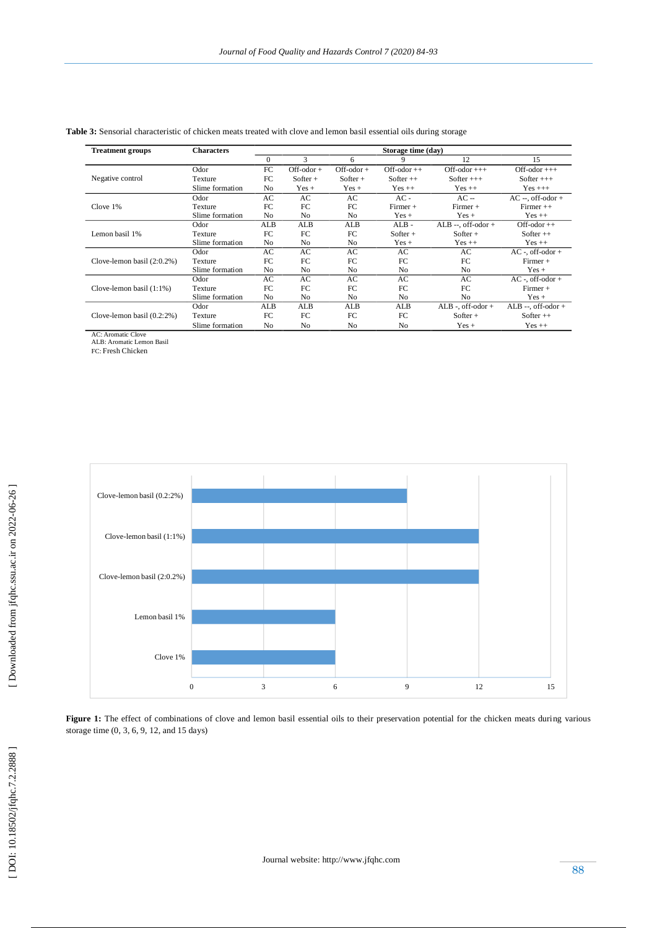| <b>Treatment groups</b>       | <b>Characters</b> | Storage time (day) |                |                |                |                        |                        |
|-------------------------------|-------------------|--------------------|----------------|----------------|----------------|------------------------|------------------------|
|                               |                   | $\mathbf{0}$       | 3              | 6              | 9              | 12                     | 15                     |
|                               | Odor              | FC                 | $Off-odor +$   | $Off-odor +$   | $Off-odor++$   | $Off-odor ++$          | $Off-odor ++$          |
| Negative control              | Texture           | FC                 | $Softer +$     | $Softer +$     | Softer $++$    | Softer $++$            | Softer $++$            |
|                               | Slime formation   | N <sub>0</sub>     | $Yes +$        | $Yes +$        | $Yes ++$       | $Yes ++$               | $Yes +++$              |
|                               | Odor              | AC                 | AC             | AC             | $AC -$         | $AC -$                 | $AC -$ , off-odor +    |
| Clove $1\%$                   | Texture           | FC                 | FC             | FC             | $Firmer +$     | $Firmer +$             | $F$ irmer $++$         |
|                               | Slime formation   | N <sub>0</sub>     | No             | N <sub>0</sub> | $Yes +$        | $Yes +$                | $Yes ++$               |
|                               | Odor              | ALB                | ALB            | ALB            | $ALB -$        | ALB $-$ , off-odor $+$ | $Off-odor++$           |
| Lemon basil 1%                | Texture           | FC                 | FC             | FC             | $Softer +$     | $Softer +$             | Softer $++$            |
|                               | Slime formation   | N <sub>0</sub>     | No             | N <sub>0</sub> | $Yes +$        | $Yes ++$               | $Yes ++$               |
|                               | Odor              | AC                 | AC             | AC             | AC             | AC                     | $AC -$ , off-odor +    |
| Clove-lemon basil $(2:0.2\%)$ | <b>Texture</b>    | FC                 | FC             | FC             | FC             | FC                     | $Firmer +$             |
|                               | Slime formation   | N <sub>0</sub>     | N <sub>0</sub> | No             | N <sub>0</sub> | N <sub>0</sub>         | $Yes +$                |
|                               | Odor              | AC                 | AC             | AC             | AC             | AC                     | $AC -$ , off-odor +    |
| Clove-lemon basil $(1:1\%)$   | Texture           | FC                 | FC             | FC             | FC             | FC.                    | $Firmer +$             |
|                               | Slime formation   | N <sub>0</sub>     | No             | N <sub>0</sub> | No             | N <sub>0</sub>         | $Yes +$                |
|                               | Odor              | ALB                | ALB            | ALB            | ALB            | $ALB -$ , off-odor $+$ | ALB $-$ , off-odor $+$ |
| Clove-lemon basil $(0.2:2\%)$ | Texture           | FC                 | FC             | FC             | FC             | $Softer +$             | Softer $++$            |
|                               | Slime formation   | N <sub>0</sub>     | No             | No             | N <sub>0</sub> | $Yes +$                | $Yes ++$               |

# **Table 3:** Sensorial characteristic of chicken meats treated with clove and lemon basil essential oils during storage

AC: Aromatic Clove ALB: Aromatic Lemon Basil FC: Fresh Chicken

3 6 9 12 15 Clove 1% Lemon basil 1% Clove -lemon basil (2:0.2%) Clove -lemon basil (1:1%) Clove -lemon basil (0.2:2%)

**Figure 1:** The effect of combinations of clove and lemon basil essential oils to their preservation potential for the chicken meats during various **Example 1:** The effect of combinations of storage time  $(0, 3, 6, 9, 12, 12)$  and 15 days)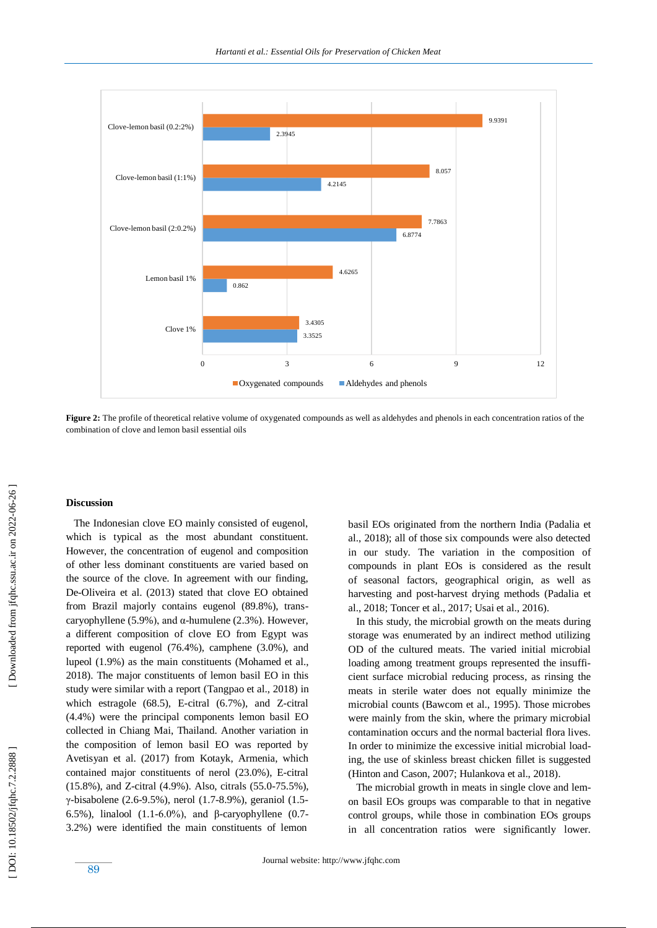

**Figure 2:** The profile of theoretical relative volume of oxygenated compounds as well as aldehydes and phenols in each concentration ratios of the combination of clove and lemon basil essential oils

## **Discussion**

 The Indonesian clove EO mainly consisted of eugenol, which is typical as the most abundant constituent. However, the concentration of eugenol and composition of other less dominant constituents are varied based on the source of the clove. In agreement with our finding, De -Oliveira et al. (2013) stated that clove EO obtained from Brazil majorly contains eugenol (89.8%), trans caryophyllene  $(5.9\%)$ , and  $\alpha$ -humulene  $(2.3\%)$ . However, a different composition of clove EO from Egypt was reported with eugenol (76.4%), camphene (3.0%), and lupeol (1.9%) as the main constituents (Mohamed et al., 2018). The major constituents of lemon basil EO in this study were similar with a report (Tangpao et al., 2018) in which estragole (68.5), E -citral (6.7%), and Z -citral (4.4%) were the principal components lemon basil EO collected in Chiang Mai, Thailand. Another variation in the composition of lemon basil EO was reported by Avetisyan et al. (2017) from Kotayk, Armenia, which contained major constituents of nerol (23.0%), E -citral (15.8%), and Z -citral (4.9%). Also, citrals (55.0 -75.5%), γ -bisabolene (2.6 -9.5%), nerol (1.7 -8.9%), geraniol (1.5 - 6.5%), linalool  $(1.1-6.0\%)$ , and β-caryophyllene  $(0.7-$ 3.2%) were identified the main constituents of lemon

basil EOs originated from the northern India (Padalia et al., 2018); all of those six compounds were also detected in our study. The variation in the composition of compounds in plant EOs is considered as the result of seasonal factors, geographical origin, as well as harvesting and post -harvest drying methods (Padalia et al., 2018; Toncer et al., 2017; Usai et al., 2016).

 In this study, the microbial growth on the meats during storage was enumerated by an indirect method utilizing OD of the cultured meats. The varied initial microbial loading among treatment groups represented the insufficient surface microbial reducing process, as rinsing the meats in sterile water does not equally minimize the microbial counts (Bawcom et al., 1995). Those microbes were mainly from the skin, where the primary microbial contamination occurs and the normal bacterial flora lives. In order to minimize the excessive initial microbial loading, the use of skinless breast chicken fillet is suggested (Hinton and Cason, 2007; Hulankova et al., 2018).

 The microbial growth in meats in single clove and lemon basil EOs groups was comparable to that in negative control groups, while those in combination EOs groups in all concentration ratios were significantly lower.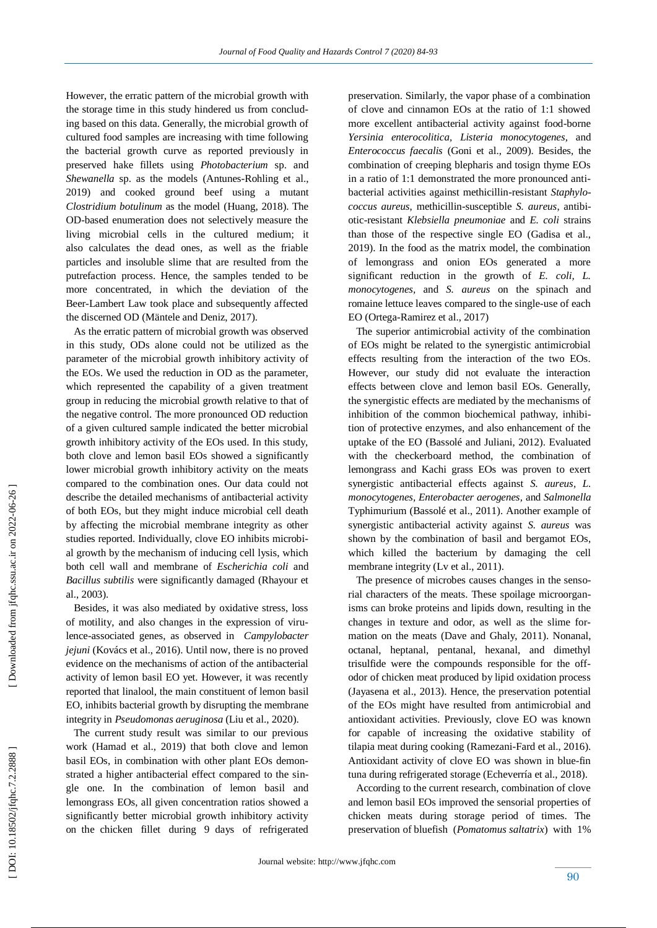However, the erratic pattern of the microbial growth with the storage time in this study hindered us from concluding based on this data. Generally, the microbial growth of cultured food samples are increasing with time following the bacterial growth curve as reported previously in preserved hake fillets using *Photobacterium* sp. and *Shewanella* sp. as the models (Antunes -Rohling et al., 2019) and cooked ground beef using a mutant *Clostridium botulinum* as the model (Huang, 2018). The OD -based enumeration does not selectively measure the living microbial cells in the cultured medium; it also calculates the dead ones, as well as the friable particles and insoluble slime that are resulted from the putrefaction process. Hence, the samples tended to be more concentrated, in which the deviation of the Beer -Lambert Law took place and subsequently affected the discerned OD (Mäntele and Deniz, 2017).

 As the erratic pattern of microbial growth was observed in this study, ODs alone could not be utilized as the parameter of the microbial growth inhibitory activity of the EOs. We used the reduction in OD as the parameter, which represented the capability of a given treatment group in reducing the microbial growth relative to that of the negative control. The more pronounced OD reduction of a given cultured sample indicated the better microbial growth inhibitory activity of the EOs used. In this study, both clove and lemon basil EOs showed a significantly lower microbial growth inhibitory activity on the meats compared to the combination ones. Our data could not describe the detailed mechanisms of antibacterial activity of both EOs, but they might induce microbial cell death by affecting the microbial membrane integrity as other studies reported. Individually, clove EO inhibits microbial growth by the mechanism of inducing cell lysis, which both cell wall and membrane of *Escherichia coli* and *Bacillus subtilis* were significantly damaged (Rhayour et al., 2003).

 Besides, it was also mediated by oxidative stress, loss of motility, and also changes in the expression of virulence-associated genes, as observed in *Campylobacter jejuni* (Kovács et al., 2016). Until now, there is no proved evidence on the mechanisms of action of the antibacterial activity of lemon basil EO yet. However, it was recently reported that linalool, the main constituent of lemon basil EO, inhibits bacterial growth by disrupting the membrane integrity in *Pseudomonas aeruginosa* (Liu et al., 2020).

 The current study result was similar to our previous work (Hamad et al., 2019) that both clove and lemon basil EOs, in combination with other plant EOs demonstrated a higher antibacterial effect compared to the single one. In the combination of lemon basil and lemongrass EOs, all given concentration ratios showed a significantly better microbial growth inhibitory activity on the chicken fillet during 9 days of refrigerated preservation. Similarly, the vapor phase of a combination of clove and cinnamon EOs at the ratio of 1:1 showed more excellent antibacterial activity against food -borne *Yersinia enterocolitica, Listeria monocytogenes,* and *Enterococcus faecalis* (Goni et al., 2009). Besides, the combination of creeping blepharis and tosign thyme EOs in a ratio of 1:1 demonstrated the more pronounced antibacterial activities against methicillin-resistant *Staphylococcus aureus*, methicillin-susceptible *S. aureus*, antibiotic-resistant *Klebsiella pneumoniae* and *E. coli* strains than those of the respective single EO (Gadisa et al., 2019). In the food as the matrix model, the combination of lemongrass and onion EOs generated a more significant reduction in the growth of *E. coli, L. monocytogenes,* and *S. aureus* on the spinach and romaine lettuce leaves compared to the single -use of each EO (Ortega -Ramirez et al., 2017)

 The superior antimicrobial activity of the combination of EOs might be related to the synergistic antimicrobial effects resulting from the interaction of the two EOs. However, our study did not evaluate the interaction effects between clove and lemon basil EOs. Generally, the synergistic effects are mediated by the mechanisms of inhibition of the common biochemical pathway, inhibition of protective enzymes, and also enhancement of the uptake of the EO (Bassolé and Juliani, 2012). Evaluated with the checkerboard method, the combination of lemongrass and Kachi grass EOs was proven to exert synergistic antibacterial effects against *S. aureus, L. monocytogenes, Enterobacter aerogenes,* and *Salmonella* Typhimurium (Bassolé et al., 2011). Another example of synergistic antibacterial activity against *S. aureus* was shown by the combination of basil and bergamot EOs, which killed the bacterium by damaging the cell membrane integrity (Ly et al., 2011).

 The presence of microbes causes changes in the sensorial characters of the meats. These spoilage microorganisms can broke proteins and lipids down, resulting in the changes in texture and odor, as well as the slime formation on the meats (Dave and Ghaly, 2011). Nonanal, octanal, heptanal, pentanal, hexanal, and dimethyl trisulfide were the compounds responsible for the off odor of chicken meat produced by lipid oxidation process (Jayasena et al., 2013). Hence, the preservation potential of the EOs might have resulted from antimicrobial and antioxidant activities. Previously, clove EO was known for capable of increasing the oxidative stability of tilapia meat during cooking (Ramezani -Fard et al., 2016). Antioxidant activity of clove EO was shown in blue -fin tuna during refrigerated storage (Echeverría et al., 2018).

 According to the current research, combination of clove and lemon basil EOs improved the sensorial properties of chicken meats during storage period of times. The preservation of bluefish (*Pomatomus saltatrix*) with 1%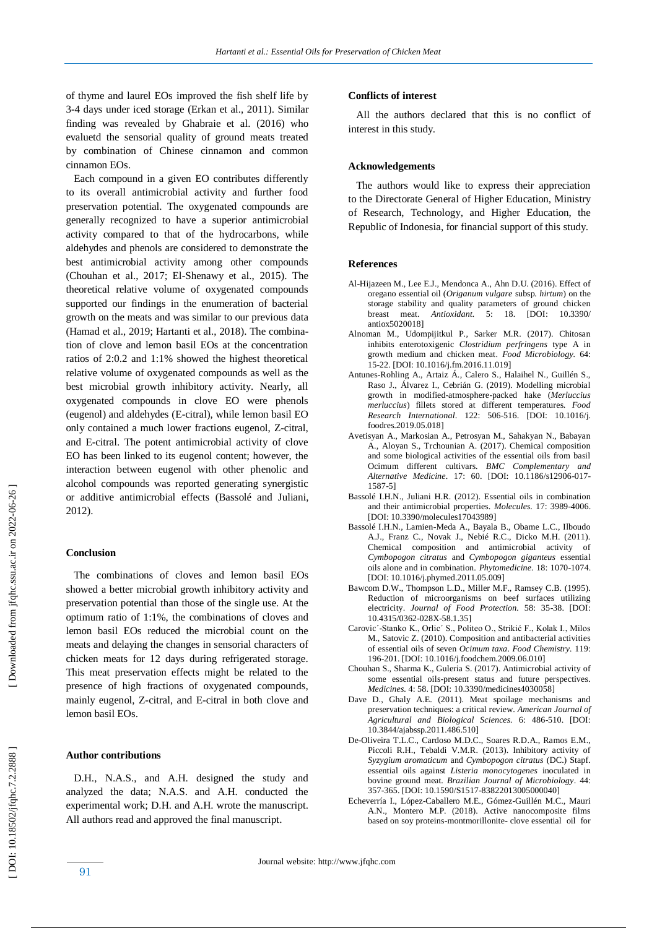of thyme and laurel EOs improved the fish shelf life by 3-4 days under iced storage (Erkan et al., 2011). Similar finding was revealed by Ghabraie et al. (2016) who evaluetd the sensorial quality of ground meats treated by combination of Chinese cinnamon and common cinnamon EOs.

 Each compound in a given EO contributes differently to its overall antimicrobial activity and further food preservation potential. The oxygenated compounds are generally recognized to have a superior antimicrobial activity compared to that of the hydrocarbons, while aldehydes and phenols are considered to demonstrate the best antimicrobial activity among other compounds (Chouhan et al., 2017; El -Shenawy et al., 2015). The theoretical relative volume of oxygenated compounds supported our findings in the enumeration of bacterial growth on the meats and was similar to our previous data (Hamad et al., 2019; Hartanti et al., 2018). The combination of clove and lemon basil EOs at the concentration ratios of 2:0.2 and 1:1% showed the highest theoretical relative volume of oxygenated compounds as well as the best microbial growth inhibitory activity. Nearly, all oxygenated compounds in clove EO were phenols (eugenol) and aldehydes (E -citral), while lemon basil EO only contained a much lower fractions eugenol, Z -citral, and E -citral. The potent antimicrobial activity of clove EO has been linked to its eugenol content; however, the interaction between eugenol with other phenolic and alcohol compounds was reported generating synergistic or additive antimicrobial effects (Bassolé and Juliani, 2012) .

# **Conclusion**

 The combinations of cloves and lemon basil EOs showed a better microbial growth inhibitory activity and preservation potential than those of the single use. At the optimum ratio of 1:1%, the combinations of cloves and lemon basil EOs reduced the microbial count on the meats and delaying the changes in sensorial characters of chicken meats for 12 days during refrigerated storage . This meat preservation effects might be related to the presence of high fractions of oxygenated compounds, mainly eugenol, Z -citral, and E -citral in both clove and lemon basil EOs.

# **Author contributions**

91

 D.H., N.A.S., and A.H. designed the study and analyzed the data; N.A.S. and A.H. conducted the experimental work; D.H. and A.H. wrote the manuscript. All authors read and approved the final manuscript.

#### **Conflicts of interest**

 All the authors declared that this is no conflict of interest in this study.

## **Acknowledgements**

 The authors would like to express their appreciation to the Directorate General of Higher Education, Ministry of Research, Technology, and Higher Education, the Republic of Indonesia, for financial support of this study.

#### **Reference s**

- Al -Hijazeen M., Lee E.J., Mendonca A., Ahn D.U. (2016). Effect of oregano essential oil (*Origanum vulgare* subsp*. hirtum*) on the storage stability and quality parameters of ground chicken breast meat. *Antioxidant.* 5: 18. [DOI: 10.3390/ antiox5020018]
- Alnoman M., Udompijitkul P., Sarker M.R. (2017). Chitosan inhibits enterotoxigenic *Clostridium perfringens* type A in growth medium and chicken meat. *Food Microbiology.* 64: 15 -22. [DOI: 10.1016/j.fm.2016.11.019]
- Antunes -Rohling A., Artaiz Á., Calero S., Halaihel N., Guillén S., Raso J., Álvarez I., Cebrián G. (2019). Modelling microbial growth in modified -atmosphere -packed hake (*Merluccius merluccius*) fillets stored at different temperatures. *Food Research International*. 122: 506 -516. [DOI: 10.1016/j. foodres.2019.05.018]
- Avetisyan A., Markosian A., Petrosyan M., Sahakyan N., Babayan A., Aloyan S., Trchounian A. (2017). Chemical composition and some biological activities of the essential oils from basil Ocimum different cultivars. *BMC Complementary and Alternative Medicine*. 17: 60. [DOI: 10.1186/s12906 -017 - 1587 -5]
- Bassolé I.H.N., Juliani H.R. (2012). Essential oils in combination and their antimicrobial properties. *Molecules*. 17: 3989-4006. [DOI: 10.3390/molecules17043989]
- Bassolé I.H.N., Lamien -Meda A., Bayala B., Obame L.C., Ilboudo A.J., Franz C., Novak J., Nebié R.C., Dicko M.H. (2011). Chemical composition and antimicrobial activity of *Cymbopogon citratus* and *Cymbopogon giganteus* essential oils alone and in combination. *Phytomedicine.* 18: 1070 -1074. [DOI: 10.1016/j.phymed.2011.05.009]
- Bawcom D.W., Thompson L.D., Miller M.F., Ramsey C.B. (1995). Reduction of microorganisms on beef surfaces utilizing electricity. *Journal of Food Protection.* 58: 35 -38. [DOI: 10.4315/0362 -028X -58.1.35 ]
- Carovic´ -Stanko K., Orlic´ S., Politeo O., Strikić F., Kolak I., Milos M., Satovic Z. (2010). Composition and antibacterial activities of essential oils of seven *Ocimum taxa*. *Food Chemistry.* 119: 196 -201. [DOI: 10.1016/j.foodchem.2009.06.010]
- Chouhan S., Sharma K., Guleria S. (2017). Antimicrobial activity of some essential oils -present status and future perspectives. *Medicines.* 4: 58. [DOI: 10.3390/medicines4030058]
- Dave D., Ghaly A.E. (2011). Meat spoilage mechanisms and preservation techniques: a critical review. *American Journal of Agricultural and Biological Sciences.* 6: 486 -510. [DOI: 10.3844/ajabssp.2011.486.510]
- De -Oliveira T.L.C., Cardoso M. D.C., Soares R. D.A., Ramos E.M., Piccoli R.H., Tebaldi V.M.R. (2013). Inhibitory activity of *Syzygium aromaticum* and *Cymbopogon citratus* (DC.) Stapf. essential oils against *Listeria monocytogenes* inoculated in bovine ground meat. *Brazilian Journal of Microbiology*. 44: 35 7 -365. [DOI: 10.1590/S1517 -83822013005000040]
- Echeverría I., López -Caballero M.E., Gómez -Guillén M.C., Mauri A.N., Montero M.P. (2018). Active nanocomposite films based on soy proteins -montmorillonite - clove essential oil for

Downloaded from jfqhc.ssu.ac.ir on 2022-06-26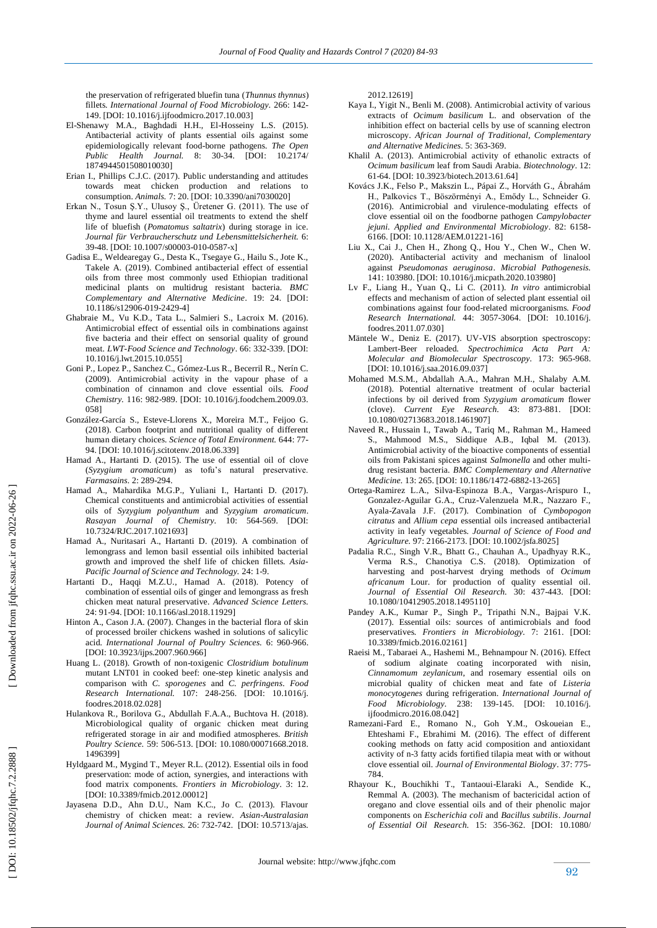the preservation of refrigerated bluefin tuna (*Thunnus thynnus*) fillets. *International Journal of Food Microbiology.* 266: 142 - 149. [DOI: 10.1016/j.ijfoodmicro.2017.10.003]

- El -Shenawy M.A., Baghdadi H.H., El -Hosseiny L.S. (2015). Antibacterial activity of plants essential oils against some epidemiologically relevant food -borne pathogens. *The Open Public Health Journal.* 8: 30 -34. [DOI: 10.2174/ 1874944501508010030]
- Erian I., Phillips C.J.C. (2017). Public understanding and attitudes towards meat chicken production and relations to consumption. *Animals.* 7: 20. [DOI: 10.3390/ani7030020]
- Erkan N., Tosun Ş.Y., Ulusoy Ş., Üretener G. (2011). The use of thyme and laurel essential oil treatments to extend the shelf life of bluefish (*Pomatomus saltatrix*) during storage in ice. *Journal für Verbraucherschutz und Lebensmittelsicherheit.* 6: 39 -48. [DOI: 10.1007/s00003 -010 -0587 -x]
- Gadisa E., Weldearegay G., Desta K., Tsegaye G., Hailu S., Jote K., Takele A. (2019). Combined antibacterial effect of essential oils from three most commonly used Ethiopian traditional medicinal plants on multidrug resistant bacteria. *BMC Complementary and Alternative Medicine*. 19: 24. [DOI: 10.1186/s12906 -019 -2429 -4]
- Ghabraie M., Vu K.D., Tata L., Salmieri S., Lacroix M. (2016). Antimicrobial effect of essential oils in combinations against five bacteria and their effect on sensorial quality of ground meat. *LWT-Food Science and Technology*. 66: 332 -339. [DOI: 10.1016/j.lwt.2015.10.055]
- Goni P., Lopez P., Sanchez C., Gómez -Lus R., Becerril R., Nerín C. (2009). Antimicrobial activity in the vapour phase of a combination of cinnamon and clove essential oils. *Food Chemistry.* 116: 982 -989. [DOI: 10.1016/j.foodchem.2009.03. 058]
- González -García S., Esteve -Llorens X., Moreira M.T., Feijoo G. (2018). Carbon footprint and nutritional quality of different human dietary choices. *Science of Total Environment.* 644: 77 - 94. [DOI: 10.1016/j.scitotenv.2018.06.339]
- Hamad A., Hartanti D. (2015). The use of essential oil of clove (*Syzygium aromaticum*) as tofu's natural preservative. *Farmasains.* 2: 289 -294.
- Hamad A., Mahardika M.G.P., Yuliani I., Hartanti D. (2017). Chemical constituents and antimicrobial activities of essential oils of *Syzygium polyanthum* and *Syzygium aromaticum*. *Rasayan Journal of Chemistry.* 10: 564 -569. [DOI: 10.7324/RJC.2017.1021693]
- Hamad A., Nuritasari A., Hartanti D. (2019). A combination of lemongrass and lemon basil essential oils inhibited bacterial growth and improved the shelf life of chicken fillets. *Asia - Pacific Journal of Science and Technology.* 24: 1 -9.
- Hartanti D., Haqqi M.Z.U., Hamad A. (2018). Potency of combination of essential oils of ginger and lemongrass as fresh chicken meat natural preservative. *Advanced Science Letters.* 24: 91 -94. [DOI: 10.1166/asl.2018.11929]
- Hinton A., Cason J.A. (2007). Changes in the bacterial flora of skin of processed broiler chickens washed in solutions of salicylic acid. *International Journal of Poultry Sciences.* 6: 960 -966. [DOI: 10.3923/ijps.2007.960.966]
- Huang L. (2018). Growth of non -toxigenic *Clostridium botulinum* mutant LNT01 in cooked beef: one -step kinetic analysis and comparison with *C. sporogenes* and *C. perfringens*. *Food Research International.* 107: 248 -256. [DOI: 10.1016/j. foodres.2018.02.028]
- Hulankova R., Borilova G., Abdullah F.A.A., Buchtova H. (2018). Microbiological quality of organic chicken meat during refrigerated storage in air and modified atmospheres. *British Poultry Science.* 59: 506 -513. [DOI: 10.1080/00071668.2018. 1496399]
- Hyldgaard M., Mygind T., Meyer R.L. (2012). Essential oils in food preservation: mode of action, synergies, and interactions with food matrix components. *Frontiers in Microbiology*. 3: 12. [DOI: 10.3389/fmicb.2012.00012]
- Jayasena D.D., Ahn D.U., Nam K.C., Jo C. (2013). Flavour chemistry of chicken meat: a review. *Asian -Australasian Journal of Animal Sciences.* 26: 732 -742. [DOI: 10.5713/ajas.

2012.12619]

- Kaya I., Yigit N., Benli M. (2008). Antimicrobial activity of various extracts of *Ocimum basilicum* L. and observation of the inhibition effect on bacterial cells by use of scanning electron microscopy. *African Journal of Traditional, Complementary and Alternative Medicines.* 5: 363 -369.
- Khalil A. (2013). Antimicrobial activity of ethanolic extracts of *Ocimum basilicum* leaf from Saudi Arabia. *Biotechnology*. 12: 61 -64. [DOI: 10.3923/biotech.2013.61.64]
- Kovács J.K., Felso P., Makszin L., Pápai Z., Horváth G., Ábrahám H., Palkovics T., Böszörményi A., Emődy L., Schneider G. (2016). Antimicrobial and virulence -modulating effects of clove essential oil on the foodborne pathogen *Campylobacter jejuni*. *Applied and Environmental Microbiology*. 82: 6158 - 6166. [DOI: 10.1128/AEM.01221 -16]
- Liu X., Cai J., Chen H., Zhong Q., Hou Y., Chen W., Chen W. (2020). Antibacterial activity and mechanism of linalool against *Pseudomonas aeruginosa*. *Microbial Pathogenesis.* 141: 103980. [DOI: 10.1016/j.micpath.2020.103980]
- Lv F., Liang H., Yuan Q., Li C. (2011). *In vitro* antimicrobial effects and mechanism of action of selected plant essential oil combinations against four food -related microorganisms. *Food Research International.* 44: 3057 -3064. [DOI: 10.1016/j. foodres.2011.07.030]
- Mäntele W., Deniz E. (2017). UV -VIS absorption spectroscopy: Lambert -Beer reloaded. *Spectrochimica Acta Part A: Molecular and Biomolecular Spectroscopy.* 173: 965 -968. [DOI: 10.1016/j.saa.2016.09.037]
- Mohamed M.S.M., Abdallah A.A., Mahran M.H., Shalaby A.M. (2018). Potential alternative treatment of ocular bacterial infections by oil derived from *Syzygium aromaticum* flower (clove). *Current Eye Research.* 43: 873 -881. [DOI: 10.1080/02713683.2018.1461907]
- Naveed R., Hussain I., Tawab A., Tariq M., Rahman M., Hameed S., Mahmood M.S., Siddique A.B., Iqbal M. (2013). Antimicrobial activity of the bioactive components of essential oils from Pakistani spices against *Salmonella* and other multi drug resistant bacteria. *BMC Complementary and Alternative*  Medicine. 13: 265. [DOI: 10.1186/1472-6882-13-265]
- Ortega -Ramirez L.A., Silva -Espinoza B.A., Vargas -Arispuro I., Gonzalez-Aguilar G.A., Cruz-Valenzuela M.R., Nazzaro F., Ayala -Zavala J.F. (2017). Combination of *Cymbopogon citratus* and *Allium cepa* essential oils increased antibacterial activity in leafy vegetables. *Journal of Science of Food and Agriculture.* 97: 2166 -2173. [DOI: 10.1002/jsfa.8025]
- Padalia R.C., Singh V.R., Bhatt G., Chauhan A., Upadhyay R.K., Verma R.S., Chanotiya C.S. (2018). Optimization of harvesting and post -harvest drying methods of *Ocimum africanum* Lour. for production of quality essential oil. *Journal of Essential Oil Research.* 30: 437 -443. [DOI: 10.1080/10412905.2018.1495110]
- Pandey A.K., Kumar P., Singh P., Tripathi N.N., Bajpai V.K. (2017). Essential oils: sources of antimicrobials and food preservatives. *Frontiers in Microbiology.* 7: 2161. [DOI: 10.3389/fmicb.2016.02161]
- Raeisi M., Tabaraei A., Hashemi M., Behnampour N. (2016). Effect of sodium alginate coating incorporated with nisin, *Cinnamomum zeylanicum*, and rosemary essential oils on microbial quality of chicken meat and fate of *Listeria monocytogenes* during refrigeration. *International Journal of Food Microbiology.* 238: 139 -145. [DOI: 10.1016/j. ijfoodmicro.2016.08.042]
- Ramezani -Fard E., Romano N., Goh Y.M., Oskoueian E., Ehteshami F., Ebrahimi M. (2016). The effect of different cooking methods on fatty acid composition and antioxidant activity of n -3 fatty acids fortified tilapia meat with or without clove essential oil. *Journal of Environmental Biology*. 37: 775 - 784.
- Rhayour K., Bouchikhi T., Tantaoui -Elaraki A., Sendide K., Remmal A. (2003). The mechanism of bactericidal action of oregano and clove essential oils and of their phenolic major components on *Escherichia coli* and *Bacillus subtilis*. *Journal of Essential Oil Research.* 15: 356 -362. [DOI: 10.1080/